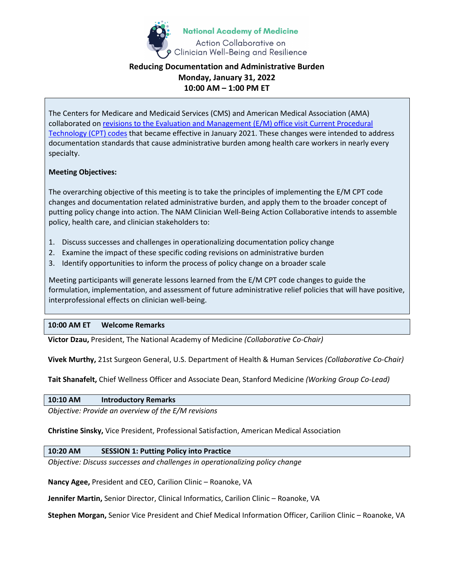

# **Reducing Documentation and Administrative Burden Monday, January 31, 2022 10:00 AM – 1:00 PM ET**

The Centers for Medicare and Medicaid Services (CMS) and American Medical Association (AMA) collaborated o[n revisions to the Evaluation and Management \(E/M\) office visit Current Procedural](https://www.ama-assn.org/practice-management/cpt/cpt-evaluation-and-management)  [Technology \(CPT\) codes](https://www.ama-assn.org/practice-management/cpt/cpt-evaluation-and-management) that became effective in January 2021. These changes were intended to address documentation standards that cause administrative burden among health care workers in nearly every specialty.

## **Meeting Objectives:**

The overarching objective of this meeting is to take the principles of implementing the E/M CPT code changes and documentation related administrative burden, and apply them to the broader concept of putting policy change into action. The NAM Clinician Well-Being Action Collaborative intends to assemble policy, health care, and clinician stakeholders to:

- 1. Discuss successes and challenges in operationalizing documentation policy change
- 2. Examine the impact of these specific coding revisions on administrative burden
- 3. Identify opportunities to inform the process of policy change on a broader scale

Meeting participants will generate lessons learned from the E/M CPT code changes to guide the formulation, implementation, and assessment of future administrative relief policies that will have positive, interprofessional effects on clinician well-being.

## **10:00 AM ET Welcome Remarks**

**Victor Dzau,** President, The National Academy of Medicine *(Collaborative Co-Chair)*

**Vivek Murthy,** 21st Surgeon General, U.S. Department of Health & Human Services *(Collaborative Co-Chair)*

**Tait Shanafelt,** Chief Wellness Officer and Associate Dean, Stanford Medicine *(Working Group Co-Lead)*

**10:10 AM Introductory Remarks**

*Objective: Provide an overview of the E/M revisions*

**Christine Sinsky,** Vice President, Professional Satisfaction, American Medical Association

## **10:20 AM SESSION 1: Putting Policy into Practice**

*Objective: Discuss successes and challenges in operationalizing policy change*

**Nancy Agee,** President and CEO, Carilion Clinic – Roanoke, VA

**Jennifer Martin,** Senior Director, Clinical Informatics, Carilion Clinic – Roanoke, VA

**Stephen Morgan,** Senior Vice President and Chief Medical Information Officer, Carilion Clinic – Roanoke, VA